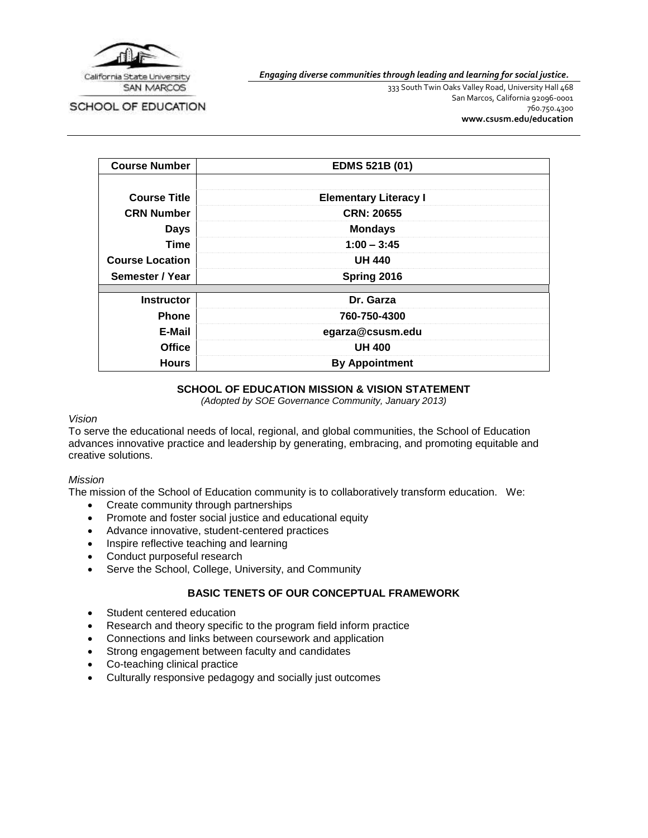

SCHOOL OF EDUCATION

*Engaging diverse communities through leading and learning for social justice.*

333 South Twin Oaks Valley Road, University Hall 468 San Marcos, California 92096-0001 760.750.4300 **[www.csusm.edu/education](http://www.csusm.edu/education)**

| <b>Course Number</b>   | EDMS 521B (01)               |  |
|------------------------|------------------------------|--|
|                        |                              |  |
| <b>Course Title</b>    | <b>Elementary Literacy I</b> |  |
| <b>CRN Number</b>      | <b>CRN: 20655</b>            |  |
| <b>Days</b>            | <b>Mondays</b>               |  |
| Time                   | $1:00 - 3:45$                |  |
| <b>Course Location</b> | <b>UH 440</b>                |  |
| Semester / Year        | Spring 2016                  |  |
| <b>Instructor</b>      | Dr. Garza                    |  |
| <b>Phone</b>           | 760-750-4300                 |  |
| E-Mail                 | egarza@csusm.edu             |  |
| <b>Office</b>          | <b>UH 400</b>                |  |
| <b>Hours</b>           | <b>By Appointment</b>        |  |

### **SCHOOL OF EDUCATION MISSION & VISION STATEMENT**

*(Adopted by SOE Governance Community, January 2013)*

#### *Vision*

To serve the educational needs of local, regional, and global communities, the School of Education advances innovative practice and leadership by generating, embracing, and promoting equitable and creative solutions.

# *Mission*

The mission of the School of Education community is to collaboratively transform education. We:

- Create community through partnerships
- Promote and foster social justice and educational equity
- Advance innovative, student-centered practices
- Inspire reflective teaching and learning
- Conduct purposeful research
- Serve the School, College, University, and Community

# **BASIC TENETS OF OUR CONCEPTUAL FRAMEWORK**

- Student centered education
- Research and theory specific to the program field inform practice
- Connections and links between coursework and application
- Strong engagement between faculty and candidates
- Co-teaching clinical practice
- Culturally responsive pedagogy and socially just outcomes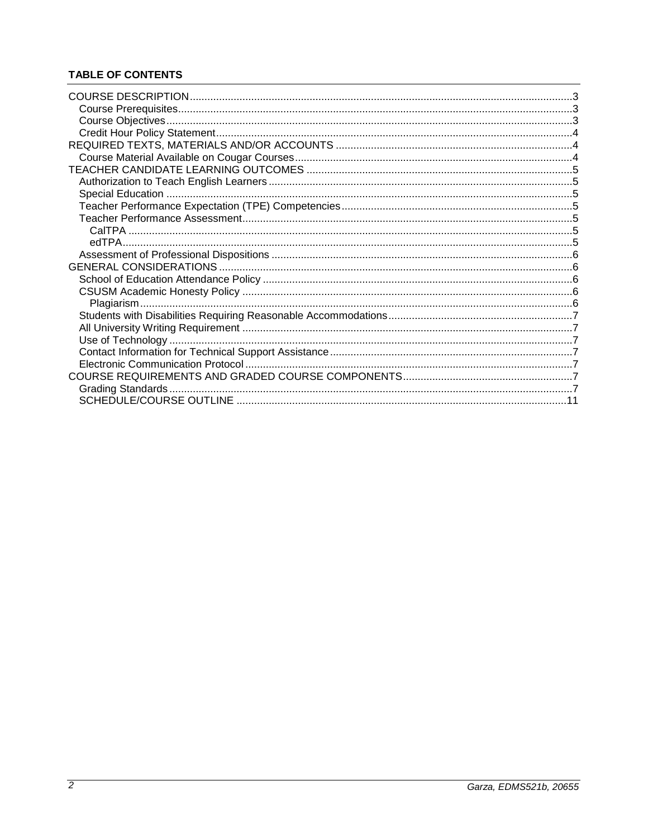# **TABLE OF CONTENTS**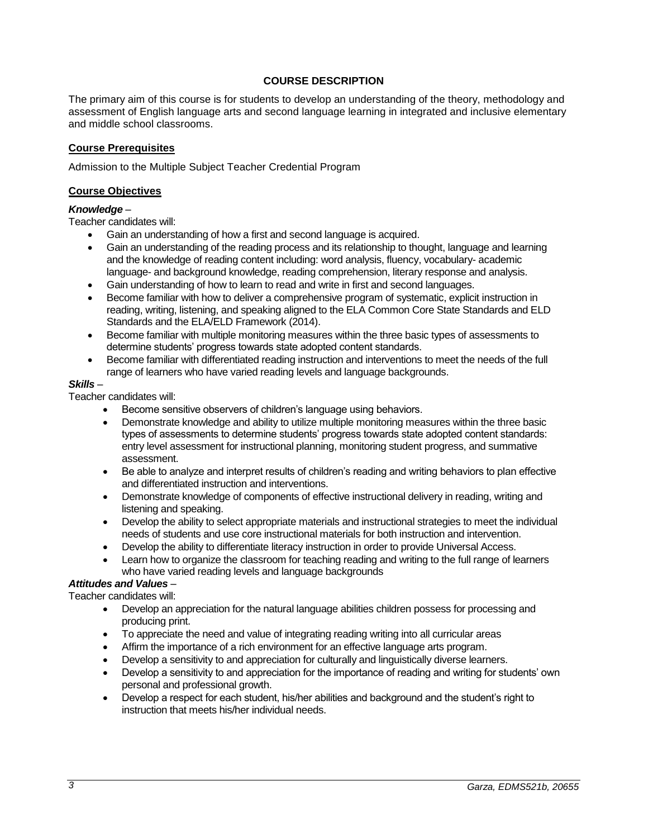# **COURSE DESCRIPTION**

<span id="page-2-0"></span>The primary aim of this course is for students to develop an understanding of the theory, methodology and assessment of English language arts and second language learning in integrated and inclusive elementary and middle school classrooms.

#### <span id="page-2-1"></span>**Course Prerequisites**

Admission to the Multiple Subject Teacher Credential Program

#### <span id="page-2-2"></span>**Course Objectives**

### *Knowledge* –

Teacher candidates will:

- Gain an understanding of how a first and second language is acquired.
- Gain an understanding of the reading process and its relationship to thought, language and learning and the knowledge of reading content including: word analysis, fluency, vocabulary- academic language- and background knowledge, reading comprehension, literary response and analysis.
- Gain understanding of how to learn to read and write in first and second languages.
- Become familiar with how to deliver a comprehensive program of systematic, explicit instruction in reading, writing, listening, and speaking aligned to the ELA Common Core State Standards and ELD Standards and the ELA/ELD Framework (2014).
- Become familiar with multiple monitoring measures within the three basic types of assessments to determine students' progress towards state adopted content standards.
- Become familiar with differentiated reading instruction and interventions to meet the needs of the full range of learners who have varied reading levels and language backgrounds.

### *Skills* –

Teacher candidates will:

- Become sensitive observers of children's language using behaviors.
- Demonstrate knowledge and ability to utilize multiple monitoring measures within the three basic types of assessments to determine students' progress towards state adopted content standards: entry level assessment for instructional planning, monitoring student progress, and summative assessment.
- Be able to analyze and interpret results of children's reading and writing behaviors to plan effective and differentiated instruction and interventions.
- Demonstrate knowledge of components of effective instructional delivery in reading, writing and listening and speaking.
- Develop the ability to select appropriate materials and instructional strategies to meet the individual needs of students and use core instructional materials for both instruction and intervention.
- Develop the ability to differentiate literacy instruction in order to provide Universal Access.
- Learn how to organize the classroom for teaching reading and writing to the full range of learners who have varied reading levels and language backgrounds

# *Attitudes and Values* –

Teacher candidates will:

- Develop an appreciation for the natural language abilities children possess for processing and producing print.
- To appreciate the need and value of integrating reading writing into all curricular areas
- Affirm the importance of a rich environment for an effective language arts program.
- Develop a sensitivity to and appreciation for culturally and linguistically diverse learners.
- Develop a sensitivity to and appreciation for the importance of reading and writing for students' own personal and professional growth.
- Develop a respect for each student, his/her abilities and background and the student's right to instruction that meets his/her individual needs.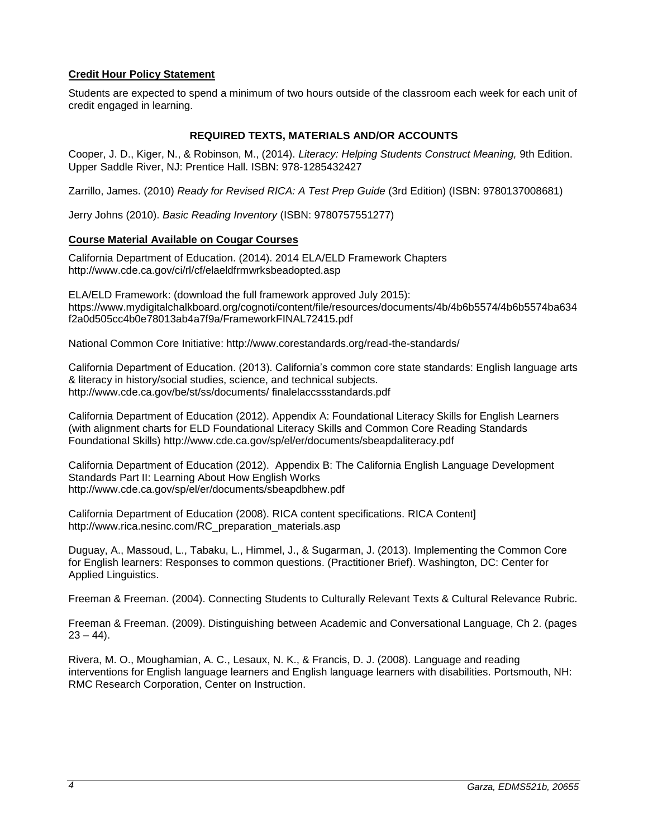# <span id="page-3-0"></span>**Credit Hour Policy Statement**

Students are expected to spend a minimum of two hours outside of the classroom each week for each unit of credit engaged in learning.

# **REQUIRED TEXTS, MATERIALS AND/OR ACCOUNTS**

<span id="page-3-1"></span>Cooper, J. D., Kiger, N., & Robinson, M., (2014). *Literacy: Helping Students Construct Meaning,* 9th Edition. Upper Saddle River, NJ: Prentice Hall. ISBN: 978-1285432427

Zarrillo, James. (2010) *Ready for Revised RICA: A Test Prep Guide* (3rd Edition) (ISBN: 9780137008681)

Jerry Johns (2010). *Basic Reading Inventory* (ISBN: 9780757551277)

### <span id="page-3-2"></span>**Course Material Available on Cougar Courses**

California Department of Education. (2014). 2014 ELA/ELD Framework Chapters http://www.cde.ca.gov/ci/rl/cf/elaeldfrmwrksbeadopted.asp

ELA/ELD Framework: (download the full framework approved July 2015): https://www.mydigitalchalkboard.org/cognoti/content/file/resources/documents/4b/4b6b5574/4b6b5574ba634 f2a0d505cc4b0e78013ab4a7f9a/FrameworkFINAL72415.pdf

National Common Core Initiative: http://www.corestandards.org/read-the-standards/

California Department of Education. (2013). California's common core state standards: English language arts & literacy in history/social studies, science, and technical subjects. http://www.cde.ca.gov/be/st/ss/documents/ finalelaccssstandards.pdf

California Department of Education (2012). Appendix A: Foundational Literacy Skills for English Learners (with alignment charts for ELD Foundational Literacy Skills and Common Core Reading Standards Foundational Skills) http://www.cde.ca.gov/sp/el/er/documents/sbeapdaliteracy.pdf

California Department of Education (2012). Appendix B: The California English Language Development Standards Part II: Learning About How English Works http://www.cde.ca.gov/sp/el/er/documents/sbeapdbhew.pdf

California Department of Education (2008). RICA content specifications. RICA Content] http://www.rica.nesinc.com/RC\_preparation\_materials.asp

Duguay, A., Massoud, L., Tabaku, L., Himmel, J., & Sugarman, J. (2013). Implementing the Common Core for English learners: Responses to common questions. (Practitioner Brief). Washington, DC: Center for Applied Linguistics.

Freeman & Freeman. (2004). Connecting Students to Culturally Relevant Texts & Cultural Relevance Rubric.

Freeman & Freeman. (2009). Distinguishing between Academic and Conversational Language, Ch 2. (pages  $23 - 44$ ).

Rivera, M. O., Moughamian, A. C., Lesaux, N. K., & Francis, D. J. (2008). Language and reading interventions for English language learners and English language learners with disabilities. Portsmouth, NH: RMC Research Corporation, Center on Instruction.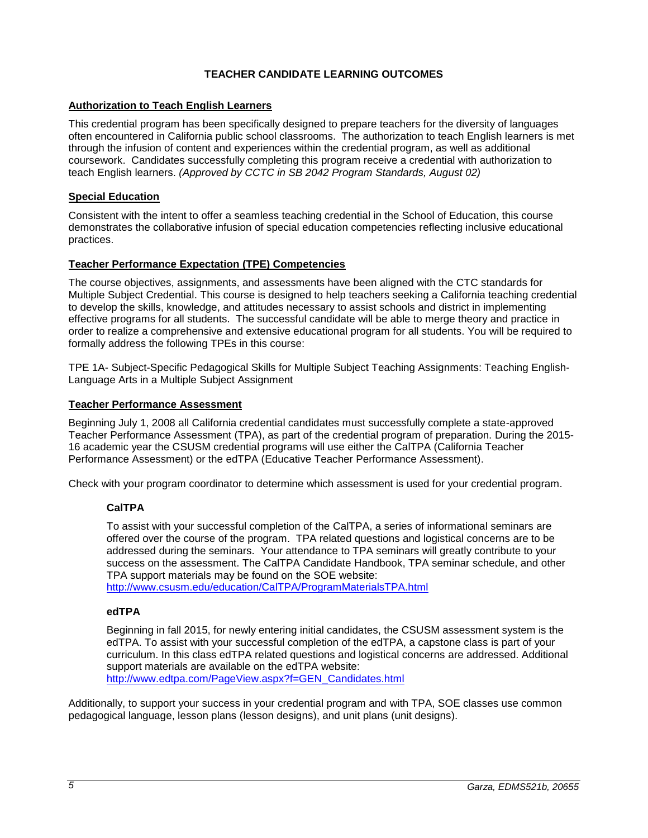# **TEACHER CANDIDATE LEARNING OUTCOMES**

## <span id="page-4-1"></span><span id="page-4-0"></span>**Authorization to Teach English Learners**

This credential program has been specifically designed to prepare teachers for the diversity of languages often encountered in California public school classrooms. The authorization to teach English learners is met through the infusion of content and experiences within the credential program, as well as additional coursework. Candidates successfully completing this program receive a credential with authorization to teach English learners. *(Approved by CCTC in SB 2042 Program Standards, August 02)*

### <span id="page-4-2"></span>**Special Education**

Consistent with the intent to offer a seamless teaching credential in the School of Education, this course demonstrates the collaborative infusion of special education competencies reflecting inclusive educational practices.

### <span id="page-4-3"></span>**Teacher Performance Expectation (TPE) Competencies**

The course objectives, assignments, and assessments have been aligned with the CTC standards for Multiple Subject Credential. This course is designed to help teachers seeking a California teaching credential to develop the skills, knowledge, and attitudes necessary to assist schools and district in implementing effective programs for all students. The successful candidate will be able to merge theory and practice in order to realize a comprehensive and extensive educational program for all students. You will be required to formally address the following TPEs in this course:

TPE 1A- Subject-Specific Pedagogical Skills for Multiple Subject Teaching Assignments: Teaching English-Language Arts in a Multiple Subject Assignment

### <span id="page-4-4"></span>**Teacher Performance Assessment**

Beginning July 1, 2008 all California credential candidates must successfully complete a state-approved Teacher Performance Assessment (TPA), as part of the credential program of preparation. During the 2015- 16 academic year the CSUSM credential programs will use either the CalTPA (California Teacher Performance Assessment) or the edTPA (Educative Teacher Performance Assessment).

<span id="page-4-5"></span>Check with your program coordinator to determine which assessment is used for your credential program.

#### **CalTPA**

To assist with your successful completion of the CalTPA, a series of informational seminars are offered over the course of the program. TPA related questions and logistical concerns are to be addressed during the seminars. Your attendance to TPA seminars will greatly contribute to your success on the assessment. The CalTPA Candidate Handbook, TPA seminar schedule, and other TPA support materials may be found on the SOE website:

<http://www.csusm.edu/education/CalTPA/ProgramMaterialsTPA.html>

# <span id="page-4-6"></span>**edTPA**

Beginning in fall 2015, for newly entering initial candidates, the CSUSM assessment system is the edTPA. To assist with your successful completion of the edTPA, a capstone class is part of your curriculum. In this class edTPA related questions and logistical concerns are addressed. Additional support materials are available on the edTPA website: [http://www.edtpa.com/PageView.aspx?f=GEN\\_Candidates.html](http://www.edtpa.com/PageView.aspx?f=GEN_Candidates.html)

Additionally, to support your success in your credential program and with TPA, SOE classes use common pedagogical language, lesson plans (lesson designs), and unit plans (unit designs).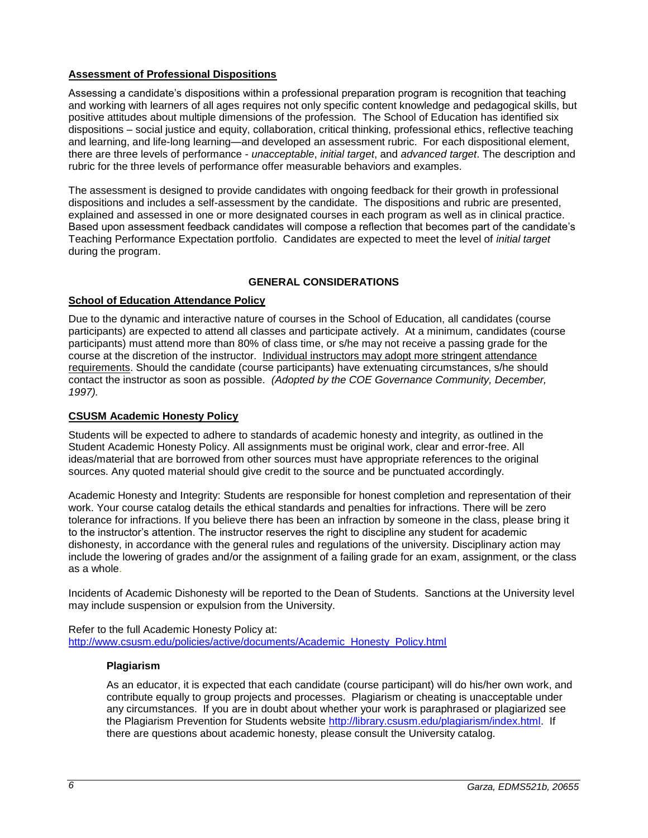# <span id="page-5-0"></span>**Assessment of Professional Dispositions**

Assessing a candidate's dispositions within a professional preparation program is recognition that teaching and working with learners of all ages requires not only specific content knowledge and pedagogical skills, but positive attitudes about multiple dimensions of the profession. The School of Education has identified six dispositions – social justice and equity, collaboration, critical thinking, professional ethics, reflective teaching and learning, and life-long learning—and developed an assessment rubric. For each dispositional element, there are three levels of performance - *unacceptable*, *initial target*, and *advanced target*. The description and rubric for the three levels of performance offer measurable behaviors and examples.

The assessment is designed to provide candidates with ongoing feedback for their growth in professional dispositions and includes a self-assessment by the candidate. The dispositions and rubric are presented, explained and assessed in one or more designated courses in each program as well as in clinical practice. Based upon assessment feedback candidates will compose a reflection that becomes part of the candidate's Teaching Performance Expectation portfolio. Candidates are expected to meet the level of *initial target* during the program.

# **GENERAL CONSIDERATIONS**

# <span id="page-5-2"></span><span id="page-5-1"></span>**School of Education Attendance Policy**

Due to the dynamic and interactive nature of courses in the School of Education, all candidates (course participants) are expected to attend all classes and participate actively. At a minimum, candidates (course participants) must attend more than 80% of class time, or s/he may not receive a passing grade for the course at the discretion of the instructor. Individual instructors may adopt more stringent attendance requirements. Should the candidate (course participants) have extenuating circumstances, s/he should contact the instructor as soon as possible. *(Adopted by the COE Governance Community, December, 1997).*

# <span id="page-5-3"></span>**CSUSM Academic Honesty Policy**

Students will be expected to adhere to standards of academic honesty and integrity, as outlined in the Student Academic Honesty Policy. All assignments must be original work, clear and error-free. All ideas/material that are borrowed from other sources must have appropriate references to the original sources. Any quoted material should give credit to the source and be punctuated accordingly.

Academic Honesty and Integrity: Students are responsible for honest completion and representation of their work. Your course catalog details the ethical standards and penalties for infractions. There will be zero tolerance for infractions. If you believe there has been an infraction by someone in the class, please bring it to the instructor's attention. The instructor reserves the right to discipline any student for academic dishonesty, in accordance with the general rules and regulations of the university. Disciplinary action may include the lowering of grades and/or the assignment of a failing grade for an exam, assignment, or the class as a whole.

Incidents of Academic Dishonesty will be reported to the Dean of Students. Sanctions at the University level may include suspension or expulsion from the University.

<span id="page-5-4"></span>Refer to the full Academic Honesty Policy at: [http://www.csusm.edu/policies/active/documents/Academic\\_Honesty\\_Policy.html](http://www.csusm.edu/policies/active/documents/Academic_Honesty_Policy.html)

#### **Plagiarism**

As an educator, it is expected that each candidate (course participant) will do his/her own work, and contribute equally to group projects and processes. Plagiarism or cheating is unacceptable under any circumstances. If you are in doubt about whether your work is paraphrased or plagiarized see the Plagiarism Prevention for Students website [http://library.csusm.edu/plagiarism/index.html.](http://library.csusm.edu/plagiarism/index.html) If there are questions about academic honesty, please consult the University catalog.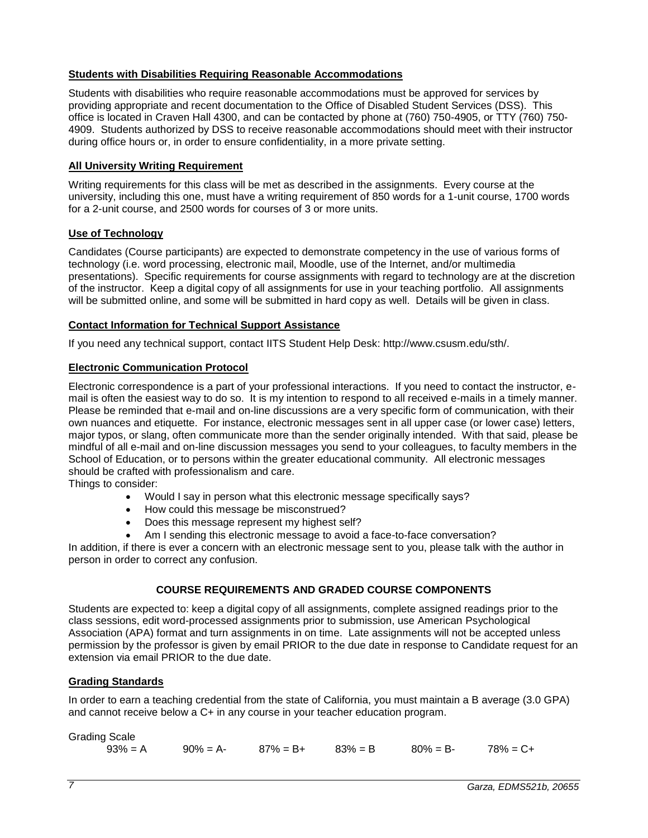## <span id="page-6-0"></span>**Students with Disabilities Requiring Reasonable Accommodations**

Students with disabilities who require reasonable accommodations must be approved for services by providing appropriate and recent documentation to the Office of Disabled Student Services (DSS). This office is located in Craven Hall 4300, and can be contacted by phone at (760) 750-4905, or TTY (760) 750- 4909. Students authorized by DSS to receive reasonable accommodations should meet with their instructor during office hours or, in order to ensure confidentiality, in a more private setting.

### <span id="page-6-1"></span>**All University Writing Requirement**

Writing requirements for this class will be met as described in the assignments. Every course at the university, including this one, must have a writing requirement of 850 words for a 1-unit course, 1700 words for a 2-unit course, and 2500 words for courses of 3 or more units.

### <span id="page-6-2"></span>**Use of Technology**

Candidates (Course participants) are expected to demonstrate competency in the use of various forms of technology (i.e. word processing, electronic mail, Moodle, use of the Internet, and/or multimedia presentations). Specific requirements for course assignments with regard to technology are at the discretion of the instructor. Keep a digital copy of all assignments for use in your teaching portfolio. All assignments will be submitted online, and some will be submitted in hard copy as well. Details will be given in class.

### <span id="page-6-3"></span>**Contact Information for Technical Support Assistance**

If you need any technical support, contact IITS Student Help Desk: http://www.csusm.edu/sth/.

#### <span id="page-6-4"></span>**Electronic Communication Protocol**

Electronic correspondence is a part of your professional interactions. If you need to contact the instructor, email is often the easiest way to do so. It is my intention to respond to all received e-mails in a timely manner. Please be reminded that e-mail and on-line discussions are a very specific form of communication, with their own nuances and etiquette. For instance, electronic messages sent in all upper case (or lower case) letters, major typos, or slang, often communicate more than the sender originally intended. With that said, please be mindful of all e-mail and on-line discussion messages you send to your colleagues, to faculty members in the School of Education, or to persons within the greater educational community. All electronic messages should be crafted with professionalism and care.

Things to consider:

- Would I say in person what this electronic message specifically says?
- How could this message be misconstrued?
- Does this message represent my highest self?
- Am I sending this electronic message to avoid a face-to-face conversation?

In addition, if there is ever a concern with an electronic message sent to you, please talk with the author in person in order to correct any confusion.

# **COURSE REQUIREMENTS AND GRADED COURSE COMPONENTS**

<span id="page-6-5"></span>Students are expected to: keep a digital copy of all assignments, complete assigned readings prior to the class sessions, edit word-processed assignments prior to submission, use American Psychological Association (APA) format and turn assignments in on time. Late assignments will not be accepted unless permission by the professor is given by email PRIOR to the due date in response to Candidate request for an extension via email PRIOR to the due date.

# <span id="page-6-6"></span>**Grading Standards**

In order to earn a teaching credential from the state of California, you must maintain a B average (3.0 GPA) and cannot receive below a C+ in any course in your teacher education program.

| <b>Grading Scale</b> |                               |  |                         |  |
|----------------------|-------------------------------|--|-------------------------|--|
| $93\% = A$           | $90\% = A$ - 87% = B+ 83% = B |  | $80\% = B - 78\% = C +$ |  |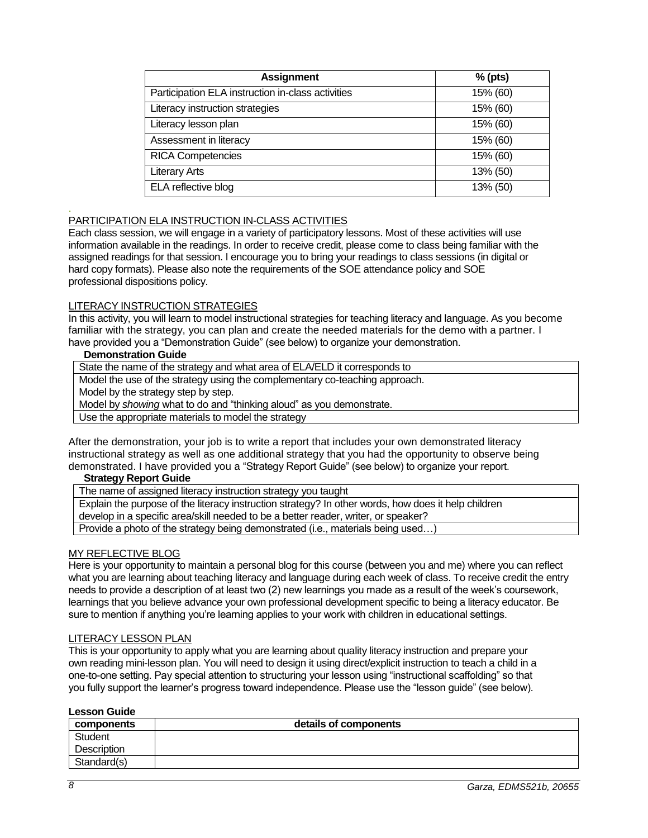| <b>Assignment</b>                                 | $%$ (pts) |
|---------------------------------------------------|-----------|
| Participation ELA instruction in-class activities | 15% (60)  |
| Literacy instruction strategies                   | 15% (60)  |
| Literacy lesson plan                              | 15% (60)  |
| Assessment in literacy                            | 15% (60)  |
| <b>RICA Competencies</b>                          | 15% (60)  |
| <b>Literary Arts</b>                              | 13% (50)  |
| ELA reflective blog                               | 13% (50)  |

### PARTICIPATION ELA INSTRUCTION IN-CLASS ACTIVITIES

Each class session, we will engage in a variety of participatory lessons. Most of these activities will use information available in the readings. In order to receive credit, please come to class being familiar with the assigned readings for that session. I encourage you to bring your readings to class sessions (in digital or hard copy formats). Please also note the requirements of the SOE attendance policy and SOE professional dispositions policy.

#### LITERACY INSTRUCTION STRATEGIES

In this activity, you will learn to model instructional strategies for teaching literacy and language. As you become familiar with the strategy, you can plan and create the needed materials for the demo with a partner. I have provided you a "Demonstration Guide" (see below) to organize your demonstration.

#### **Demonstration Guide**

.

State the name of the strategy and what area of ELA/ELD it corresponds to

Model the use of the strategy using the complementary co-teaching approach.

Model by the strategy step by step.

Model by *showing* what to do and "thinking aloud" as you demonstrate.

Use the appropriate materials to model the strategy

After the demonstration, your job is to write a report that includes your own demonstrated literacy instructional strategy as well as one additional strategy that you had the opportunity to observe being demonstrated. I have provided you a "Strategy Report Guide" (see below) to organize your report.

#### **Strategy Report Guide**

The name of assigned literacy instruction strategy you taught

Explain the purpose of the literacy instruction strategy? In other words, how does it help children develop in a specific area/skill needed to be a better reader, writer, or speaker?

Provide a photo of the strategy being demonstrated (i.e., materials being used...)

## MY REFLECTIVE BLOG

Here is your opportunity to maintain a personal blog for this course (between you and me) where you can reflect what you are learning about teaching literacy and language during each week of class. To receive credit the entry needs to provide a description of at least two (2) new learnings you made as a result of the week's coursework, learnings that you believe advance your own professional development specific to being a literacy educator. Be sure to mention if anything you're learning applies to your work with children in educational settings.

#### LITERACY LESSON PLAN

This is your opportunity to apply what you are learning about quality literacy instruction and prepare your own reading mini-lesson plan. You will need to design it using direct/explicit instruction to teach a child in a one-to-one setting. Pay special attention to structuring your lesson using "instructional scaffolding" so that you fully support the learner's progress toward independence. Please use the "lesson guide" (see below).

| <b>Lesson Guide</b> |                       |
|---------------------|-----------------------|
| components          | details of components |
| Student             |                       |
| <b>Description</b>  |                       |
| Standard(s)         |                       |

# **Lesson Guide**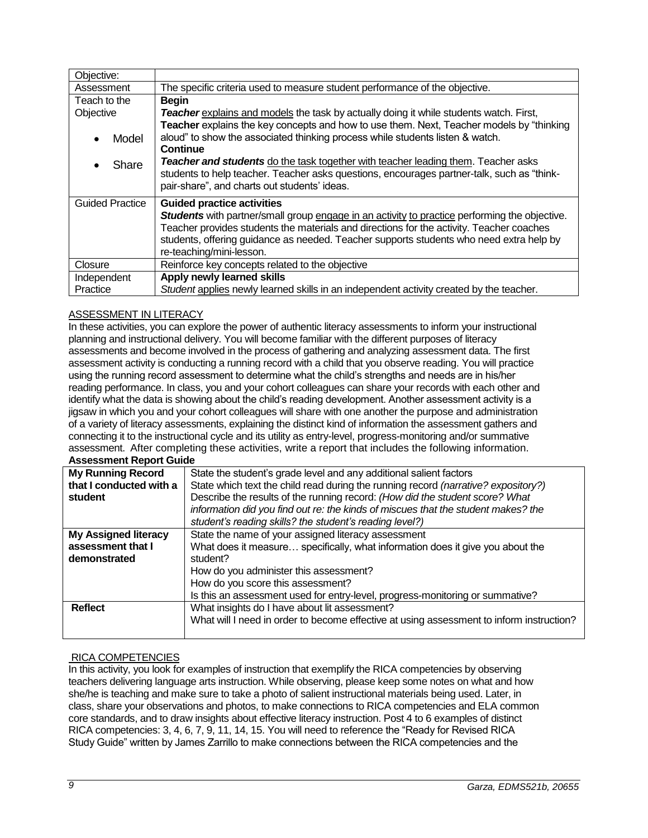| Objective:             |                                                                                                                                                                                                                                                                                                                                                              |  |
|------------------------|--------------------------------------------------------------------------------------------------------------------------------------------------------------------------------------------------------------------------------------------------------------------------------------------------------------------------------------------------------------|--|
| Assessment             | The specific criteria used to measure student performance of the objective.                                                                                                                                                                                                                                                                                  |  |
| Teach to the           | <b>Begin</b>                                                                                                                                                                                                                                                                                                                                                 |  |
| Objective              | <b>Teacher</b> explains and models the task by actually doing it while students watch. First,<br>Teacher explains the key concepts and how to use them. Next, Teacher models by "thinking                                                                                                                                                                    |  |
| Model                  | aloud" to show the associated thinking process while students listen & watch.<br>Continue                                                                                                                                                                                                                                                                    |  |
| Share                  | Teacher and students do the task together with teacher leading them. Teacher asks<br>students to help teacher. Teacher asks questions, encourages partner-talk, such as "think-<br>pair-share", and charts out students' ideas.                                                                                                                              |  |
| <b>Guided Practice</b> | <b>Guided practice activities</b><br><b>Students</b> with partner/small group engage in an activity to practice performing the objective.<br>Teacher provides students the materials and directions for the activity. Teacher coaches<br>students, offering guidance as needed. Teacher supports students who need extra help by<br>re-teaching/mini-lesson. |  |
| Closure                | Reinforce key concepts related to the objective                                                                                                                                                                                                                                                                                                              |  |
| Independent            | Apply newly learned skills                                                                                                                                                                                                                                                                                                                                   |  |
| Practice               | Student applies newly learned skills in an independent activity created by the teacher.                                                                                                                                                                                                                                                                      |  |

# ASSESSMENT IN LITERACY

In these activities, you can explore the power of authentic literacy assessments to inform your instructional planning and instructional delivery. You will become familiar with the different purposes of literacy assessments and become involved in the process of gathering and analyzing assessment data. The first assessment activity is conducting a running record with a child that you observe reading. You will practice using the running record assessment to determine what the child's strengths and needs are in his/her reading performance. In class, you and your cohort colleagues can share your records with each other and identify what the data is showing about the child's reading development. Another assessment activity is a jigsaw in which you and your cohort colleagues will share with one another the purpose and administration of a variety of literacy assessments, explaining the distinct kind of information the assessment gathers and connecting it to the instructional cycle and its utility as entry-level, progress-monitoring and/or summative assessment. After completing these activities, write a report that includes the following information. **Assessment Report Guide**

| Assessifient Report Odiue   |                                                                                          |  |
|-----------------------------|------------------------------------------------------------------------------------------|--|
| <b>My Running Record</b>    | State the student's grade level and any additional salient factors                       |  |
| that I conducted with a     | State which text the child read during the running record (narrative? expository?)       |  |
| student                     | Describe the results of the running record: (How did the student score? What             |  |
|                             | information did you find out re: the kinds of miscues that the student makes? the        |  |
|                             | student's reading skills? the student's reading level?)                                  |  |
| <b>My Assigned literacy</b> | State the name of your assigned literacy assessment                                      |  |
| assessment that I           | What does it measure specifically, what information does it give you about the           |  |
| demonstrated                | student?                                                                                 |  |
|                             | How do you administer this assessment?                                                   |  |
|                             | How do you score this assessment?                                                        |  |
|                             | Is this an assessment used for entry-level, progress-monitoring or summative?            |  |
| <b>Reflect</b>              | What insights do I have about lit assessment?                                            |  |
|                             | What will I need in order to become effective at using assessment to inform instruction? |  |
|                             |                                                                                          |  |

# RICA COMPETENCIES

In this activity, you look for examples of instruction that exemplify the RICA competencies by observing teachers delivering language arts instruction. While observing, please keep some notes on what and how she/he is teaching and make sure to take a photo of salient instructional materials being used. Later, in class, share your observations and photos, to make connections to RICA competencies and ELA common core standards, and to draw insights about effective literacy instruction. Post 4 to 6 examples of distinct RICA competencies: 3, 4, 6, 7, 9, 11, 14, 15. You will need to reference the "Ready for Revised RICA Study Guide" written by James Zarrillo to make connections between the RICA competencies and the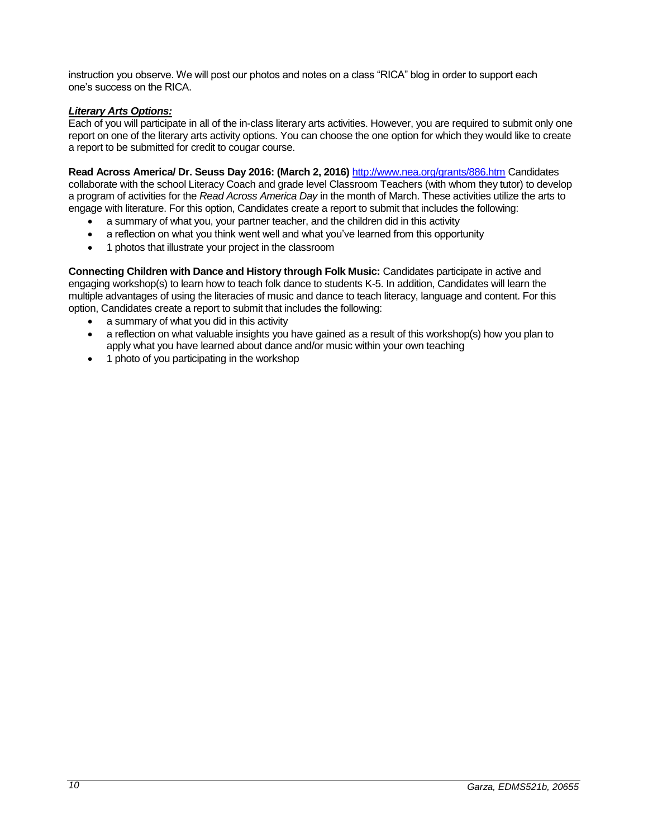instruction you observe. We will post our photos and notes on a class "RICA" blog in order to support each one's success on the RICA.

# *Literary Arts Options:*

Each of you will participate in all of the in-class literary arts activities. However, you are required to submit only one report on one of the literary arts activity options. You can choose the one option for which they would like to create a report to be submitted for credit to cougar course.

**Read Across America/ Dr. Seuss Day 2016: (March 2, 2016)** <http://www.nea.org/grants/886.htm> Candidates collaborate with the school Literacy Coach and grade level Classroom Teachers (with whom they tutor) to develop a program of activities for the *Read Across America Day* in the month of March. These activities utilize the arts to engage with literature. For this option, Candidates create a report to submit that includes the following:

- a summary of what you, your partner teacher, and the children did in this activity
- a reflection on what you think went well and what you've learned from this opportunity
- 1 photos that illustrate your project in the classroom

**Connecting Children with Dance and History through Folk Music:** Candidates participate in active and engaging workshop(s) to learn how to teach folk dance to students K-5. In addition, Candidates will learn the multiple advantages of using the literacies of music and dance to teach literacy, language and content. For this option, Candidates create a report to submit that includes the following:

- a summary of what you did in this activity
- a reflection on what valuable insights you have gained as a result of this workshop(s) how you plan to apply what you have learned about dance and/or music within your own teaching
- 1 photo of you participating in the workshop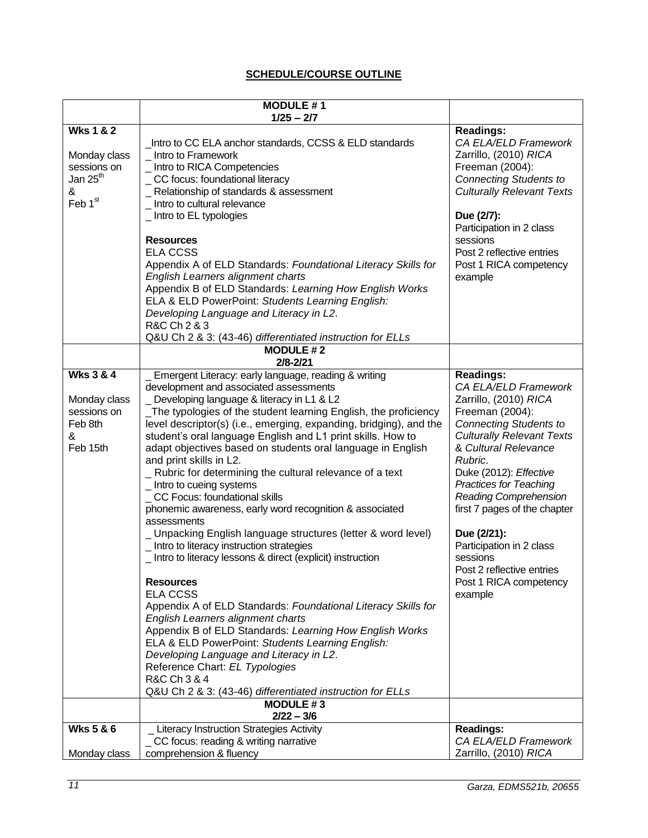# **SCHEDULE/COURSE OUTLINE**

<span id="page-10-0"></span>

|                                                                                             | <b>MODULE #1</b>                                                                                                                                                                                                                                                                                                                                                                                                                                                                                                                                                                                                                                                                                                                                                                                                                                                        |                                                                                                                                                                                                                                                                                                                                                                                                                                                  |
|---------------------------------------------------------------------------------------------|-------------------------------------------------------------------------------------------------------------------------------------------------------------------------------------------------------------------------------------------------------------------------------------------------------------------------------------------------------------------------------------------------------------------------------------------------------------------------------------------------------------------------------------------------------------------------------------------------------------------------------------------------------------------------------------------------------------------------------------------------------------------------------------------------------------------------------------------------------------------------|--------------------------------------------------------------------------------------------------------------------------------------------------------------------------------------------------------------------------------------------------------------------------------------------------------------------------------------------------------------------------------------------------------------------------------------------------|
|                                                                                             | $1/25 - 2/7$                                                                                                                                                                                                                                                                                                                                                                                                                                                                                                                                                                                                                                                                                                                                                                                                                                                            |                                                                                                                                                                                                                                                                                                                                                                                                                                                  |
| <b>Wks 1 &amp; 2</b><br>Monday class<br>sessions on<br>Jan 25 <sup>th</sup><br>&<br>Feb 1st | Intro to CC ELA anchor standards, CCSS & ELD standards<br>_ Intro to Framework<br>_ Intro to RICA Competencies<br>CC focus: foundational literacy<br>_ Relationship of standards & assessment<br>Intro to cultural relevance<br>_Intro to EL typologies                                                                                                                                                                                                                                                                                                                                                                                                                                                                                                                                                                                                                 | <b>Readings:</b><br>CA ELA/ELD Framework<br>Zarrillo, (2010) RICA<br>Freeman (2004):<br><b>Connecting Students to</b><br><b>Culturally Relevant Texts</b><br>Due (2/7):<br>Participation in 2 class                                                                                                                                                                                                                                              |
|                                                                                             | <b>Resources</b><br><b>ELA CCSS</b><br>Appendix A of ELD Standards: Foundational Literacy Skills for<br>English Learners alignment charts<br>Appendix B of ELD Standards: Learning How English Works<br>ELA & ELD PowerPoint: Students Learning English:<br>Developing Language and Literacy in L2.<br>R&C Ch 2 & 3<br>Q&U Ch 2 & 3: (43-46) differentiated instruction for ELLs<br><b>MODULE #2</b>                                                                                                                                                                                                                                                                                                                                                                                                                                                                    | sessions<br>Post 2 reflective entries<br>Post 1 RICA competency<br>example                                                                                                                                                                                                                                                                                                                                                                       |
|                                                                                             | $2/8 - 2/21$                                                                                                                                                                                                                                                                                                                                                                                                                                                                                                                                                                                                                                                                                                                                                                                                                                                            |                                                                                                                                                                                                                                                                                                                                                                                                                                                  |
| <b>Wks 3 &amp; 4</b><br>Monday class<br>sessions on<br>Feb 8th<br>&<br>Feb 15th             | Emergent Literacy: early language, reading & writing<br>development and associated assessments<br>Developing language & literacy in L1 & L2<br>The typologies of the student learning English, the proficiency<br>level descriptor(s) (i.e., emerging, expanding, bridging), and the<br>student's oral language English and L1 print skills. How to<br>adapt objectives based on students oral language in English<br>and print skills in L2.<br>_ Rubric for determining the cultural relevance of a text<br>_ Intro to cueing systems<br>CC Focus: foundational skills<br>phonemic awareness, early word recognition & associated<br>assessments<br>_ Unpacking English language structures (letter & word level)<br>_ Intro to literacy instruction strategies<br>_ Intro to literacy lessons & direct (explicit) instruction<br><b>Resources</b><br><b>ELA CCSS</b> | <b>Readings:</b><br>CA ELA/ELD Framework<br>Zarrillo, (2010) RICA<br>Freeman (2004):<br><b>Connecting Students to</b><br><b>Culturally Relevant Texts</b><br>& Cultural Relevance<br>Rubric.<br>Duke (2012): Effective<br><b>Practices for Teaching</b><br><b>Reading Comprehension</b><br>first 7 pages of the chapter<br>Due (2/21):<br>Participation in 2 class<br>sessions<br>Post 2 reflective entries<br>Post 1 RICA competency<br>example |
|                                                                                             | Appendix A of ELD Standards: Foundational Literacy Skills for<br>English Learners alignment charts<br>Appendix B of ELD Standards: Learning How English Works<br>ELA & ELD PowerPoint: Students Learning English:<br>Developing Language and Literacy in L2.<br>Reference Chart: EL Typologies<br>R&C Ch 3 & 4<br>Q&U Ch 2 & 3: (43-46) differentiated instruction for ELLs<br><b>MODULE #3</b>                                                                                                                                                                                                                                                                                                                                                                                                                                                                         |                                                                                                                                                                                                                                                                                                                                                                                                                                                  |
|                                                                                             | $2/22 - 3/6$                                                                                                                                                                                                                                                                                                                                                                                                                                                                                                                                                                                                                                                                                                                                                                                                                                                            |                                                                                                                                                                                                                                                                                                                                                                                                                                                  |
| <b>Wks 5 &amp; 6</b><br>Monday class                                                        | <b>Literacy Instruction Strategies Activity</b><br>CC focus: reading & writing narrative<br>comprehension & fluency                                                                                                                                                                                                                                                                                                                                                                                                                                                                                                                                                                                                                                                                                                                                                     | Readings:<br>CA ELA/ELD Framework<br>Zarrillo, (2010) RICA                                                                                                                                                                                                                                                                                                                                                                                       |
|                                                                                             |                                                                                                                                                                                                                                                                                                                                                                                                                                                                                                                                                                                                                                                                                                                                                                                                                                                                         |                                                                                                                                                                                                                                                                                                                                                                                                                                                  |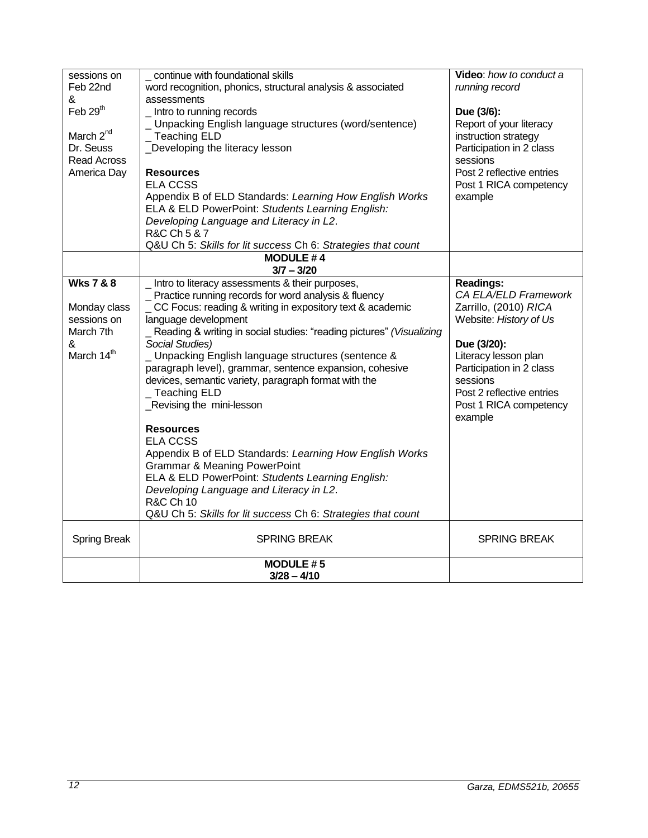| sessions on           | continue with foundational skills                                    | Video: how to conduct a   |
|-----------------------|----------------------------------------------------------------------|---------------------------|
| Feb 22nd              | word recognition, phonics, structural analysis & associated          | running record            |
| &                     | assessments                                                          |                           |
| Feb 29 <sup>th</sup>  | _Intro to running records                                            | Due (3/6):                |
|                       | _ Unpacking English language structures (word/sentence)              | Report of your literacy   |
| March 2 <sup>nd</sup> | _ Teaching ELD                                                       | instruction strategy      |
| Dr. Seuss             | Developing the literacy lesson                                       | Participation in 2 class  |
| <b>Read Across</b>    |                                                                      | sessions                  |
| America Day           | <b>Resources</b>                                                     | Post 2 reflective entries |
|                       | <b>ELA CCSS</b>                                                      | Post 1 RICA competency    |
|                       | Appendix B of ELD Standards: Learning How English Works              | example                   |
|                       | ELA & ELD PowerPoint: Students Learning English:                     |                           |
|                       | Developing Language and Literacy in L2.                              |                           |
|                       | R&C Ch 5 & 7                                                         |                           |
|                       | Q&U Ch 5: Skills for lit success Ch 6: Strategies that count         |                           |
|                       | <b>MODULE #4</b>                                                     |                           |
|                       | $3/7 - 3/20$                                                         |                           |
| <b>Wks 7 &amp; 8</b>  | _Intro to literacy assessments & their purposes,                     | <b>Readings:</b>          |
|                       | _ Practice running records for word analysis & fluency               | CA ELA/ELD Framework      |
| Monday class          | CC Focus: reading & writing in expository text & academic            | Zarrillo, (2010) RICA     |
| sessions on           | language development                                                 | Website: History of Us    |
| March 7th             | Reading & writing in social studies: "reading pictures" (Visualizing |                           |
| &                     | Social Studies)                                                      | Due (3/20):               |
| March 14th            | _ Unpacking English language structures (sentence &                  | Literacy lesson plan      |
|                       | paragraph level), grammar, sentence expansion, cohesive              | Participation in 2 class  |
|                       | devices, semantic variety, paragraph format with the                 | sessions                  |
|                       | Teaching ELD                                                         | Post 2 reflective entries |
|                       | _Revising the mini-lesson                                            | Post 1 RICA competency    |
|                       |                                                                      | example                   |
|                       | <b>Resources</b>                                                     |                           |
|                       | <b>ELA CCSS</b>                                                      |                           |
|                       | Appendix B of ELD Standards: Learning How English Works              |                           |
|                       | <b>Grammar &amp; Meaning PowerPoint</b>                              |                           |
|                       | ELA & ELD PowerPoint: Students Learning English:                     |                           |
|                       | Developing Language and Literacy in L2.                              |                           |
|                       | <b>R&amp;C Ch 10</b>                                                 |                           |
|                       |                                                                      |                           |
|                       | Q&U Ch 5: Skills for lit success Ch 6: Strategies that count         |                           |
| <b>Spring Break</b>   | <b>SPRING BREAK</b>                                                  | <b>SPRING BREAK</b>       |
|                       |                                                                      |                           |
|                       | <b>MODULE #5</b><br>$3/28 - 4/10$                                    |                           |
|                       |                                                                      |                           |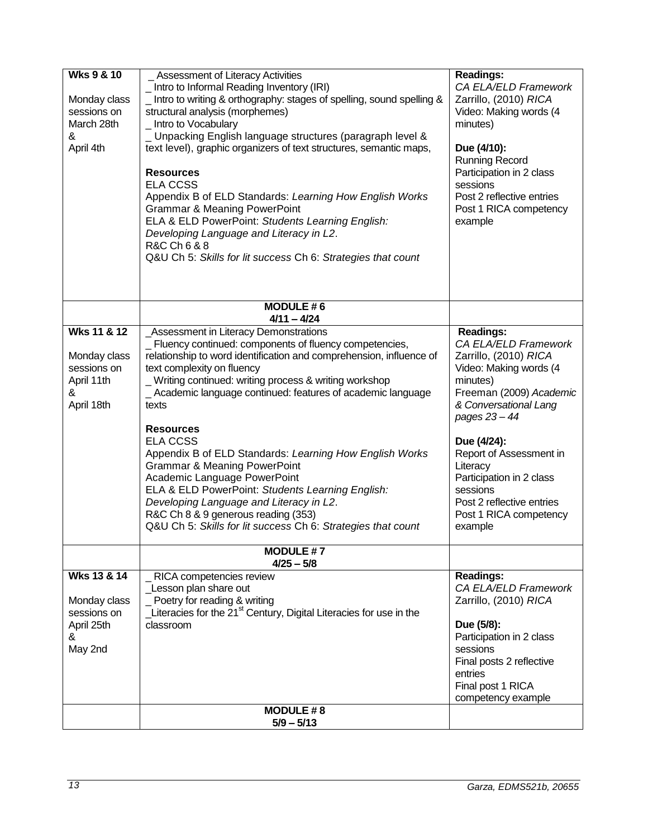| <b>Wks 9 &amp; 10</b><br>Monday class<br>sessions on<br>March 28th<br>&<br>April 4th | Assessment of Literacy Activities<br>Intro to Informal Reading Inventory (IRI)<br>_ Intro to writing & orthography: stages of spelling, sound spelling &<br>structural analysis (morphemes)<br>_ Intro to Vocabulary<br>_ Unpacking English language structures (paragraph level &<br>text level), graphic organizers of text structures, semantic maps,<br><b>Resources</b><br><b>ELA CCSS</b><br>Appendix B of ELD Standards: Learning How English Works<br><b>Grammar &amp; Meaning PowerPoint</b><br>ELA & ELD PowerPoint: Students Learning English:<br>Developing Language and Literacy in L2.<br>R&C Ch 6 & 8<br>Q&U Ch 5: Skills for lit success Ch 6: Strategies that count                                                | <b>Readings:</b><br>CA ELA/ELD Framework<br>Zarrillo, (2010) RICA<br>Video: Making words (4<br>minutes)<br>Due (4/10):<br><b>Running Record</b><br>Participation in 2 class<br>sessions<br>Post 2 reflective entries<br>Post 1 RICA competency<br>example                                                                                    |
|--------------------------------------------------------------------------------------|-------------------------------------------------------------------------------------------------------------------------------------------------------------------------------------------------------------------------------------------------------------------------------------------------------------------------------------------------------------------------------------------------------------------------------------------------------------------------------------------------------------------------------------------------------------------------------------------------------------------------------------------------------------------------------------------------------------------------------------|----------------------------------------------------------------------------------------------------------------------------------------------------------------------------------------------------------------------------------------------------------------------------------------------------------------------------------------------|
|                                                                                      | <b>MODULE #6</b><br>$4/11 - 4/24$                                                                                                                                                                                                                                                                                                                                                                                                                                                                                                                                                                                                                                                                                                   |                                                                                                                                                                                                                                                                                                                                              |
| Wks 11 & 12<br>Monday class<br>sessions on<br>April 11th<br>&<br>April 18th          | <b>Assessment in Literacy Demonstrations</b><br>_ Fluency continued: components of fluency competencies,<br>relationship to word identification and comprehension, influence of<br>text complexity on fluency<br>_Writing continued: writing process & writing workshop<br>_ Academic language continued: features of academic language<br>texts<br><b>Resources</b><br><b>ELA CCSS</b><br>Appendix B of ELD Standards: Learning How English Works<br><b>Grammar &amp; Meaning PowerPoint</b><br>Academic Language PowerPoint<br>ELA & ELD PowerPoint: Students Learning English:<br>Developing Language and Literacy in L2.<br>R&C Ch 8 & 9 generous reading (353)<br>Q&U Ch 5: Skills for lit success Ch 6: Strategies that count | <b>Readings:</b><br>CA ELA/ELD Framework<br>Zarrillo, (2010) RICA<br>Video: Making words (4<br>minutes)<br>Freeman (2009) Academic<br>& Conversational Lang<br>pages 23 - 44<br>Due (4/24):<br>Report of Assessment in<br>Literacy<br>Participation in 2 class<br>sessions<br>Post 2 reflective entries<br>Post 1 RICA competency<br>example |
|                                                                                      | <b>MODULE #7</b><br>$4/25 - 5/8$                                                                                                                                                                                                                                                                                                                                                                                                                                                                                                                                                                                                                                                                                                    |                                                                                                                                                                                                                                                                                                                                              |
| Wks 13 & 14<br>Monday class<br>sessions on<br>April 25th<br>&<br>May 2nd             | RICA competencies review<br>Lesson plan share out<br>Poetry for reading & writing<br>Literacies for the 21 <sup>st</sup> Century, Digital Literacies for use in the<br>classroom<br><b>MODULE #8</b>                                                                                                                                                                                                                                                                                                                                                                                                                                                                                                                                | <b>Readings:</b><br>CA ELA/ELD Framework<br>Zarrillo, (2010) RICA<br>Due (5/8):<br>Participation in 2 class<br>sessions<br>Final posts 2 reflective<br>entries<br>Final post 1 RICA<br>competency example                                                                                                                                    |
|                                                                                      | $5/9 - 5/13$                                                                                                                                                                                                                                                                                                                                                                                                                                                                                                                                                                                                                                                                                                                        |                                                                                                                                                                                                                                                                                                                                              |